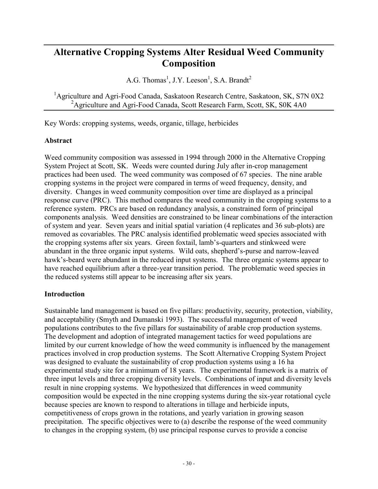# **Alternative Cropping Systems Alter Residual Weed Community Composition**

A.G. Thomas<sup>1</sup>, J.Y. Leeson<sup>1</sup>, S.A. Brandt<sup>2</sup>

<sup>1</sup>Agriculture and Agri-Food Canada, Saskatoon Research Centre, Saskatoon, SK, S7N 0X2 <sup>2</sup> Agriculture and Agri-Food Canada, Scott Research Farm, Scott, SK, S0K 4A0

Key Words: cropping systems, weeds, organic, tillage, herbicides

### **Abstract**

Weed community composition was assessed in 1994 through 2000 in the Alternative Cropping System Project at Scott, SK. Weeds were counted during July after in-crop management practices had been used. The weed community was composed of 67 species. The nine arable cropping systems in the project were compared in terms of weed frequency, density, and diversity. Changes in weed community composition over time are displayed as a principal response curve (PRC). This method compares the weed community in the cropping systems to a reference system. PRCs are based on redundancy analysis, a constrained form of principal components analysis. Weed densities are constrained to be linear combinations of the interaction of system and year. Seven years and initial spatial variation (4 replicates and 36 sub-plots) are removed as covariables. The PRC analysis identified problematic weed species associated with the cropping systems after six years. Green foxtail, lamb's-quarters and stinkweed were abundant in the three organic input systems. Wild oats, shepherd's-purse and narrow-leaved hawk's-beard were abundant in the reduced input systems. The three organic systems appear to have reached equilibrium after a three-year transition period. The problematic weed species in the reduced systems still appear to be increasing after six years.

### **Introduction**

Sustainable land management is based on five pillars: productivity, security, protection, viability, and acceptability (Smyth and Dumanski 1993). The successful management of weed populations contributes to the five pillars for sustainability of arable crop production systems. The development and adoption of integrated management tactics for weed populations are limited by our current knowledge of how the weed community is influenced by the management practices involved in crop production systems. The Scott Alternative Cropping System Project was designed to evaluate the sustainability of crop production systems using a 16 ha experimental study site for a minimum of 18 years. The experimental framework is a matrix of three input levels and three cropping diversity levels. Combinations of input and diversity levels result in nine cropping systems. We hypothesized that differences in weed community composition would be expected in the nine cropping systems during the six-year rotational cycle because species are known to respond to alterations in tillage and herbicide inputs, competitiveness of crops grown in the rotations, and yearly variation in growing season precipitation. The specific objectives were to (a) describe the response of the weed community to changes in the cropping system, (b) use principal response curves to provide a concise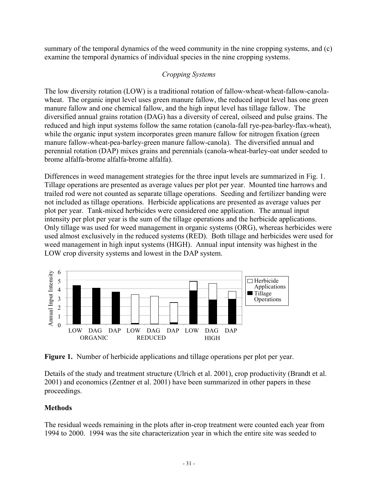summary of the temporal dynamics of the weed community in the nine cropping systems, and (c) examine the temporal dynamics of individual species in the nine cropping systems.

### *Cropping Systems*

The low diversity rotation (LOW) is a traditional rotation of fallow-wheat-wheat-fallow-canolawheat. The organic input level uses green manure fallow, the reduced input level has one green manure fallow and one chemical fallow, and the high input level has tillage fallow. The diversified annual grains rotation (DAG) has a diversity of cereal, oilseed and pulse grains. The reduced and high input systems follow the same rotation (canola-fall rye-pea-barley-flax-wheat), while the organic input system incorporates green manure fallow for nitrogen fixation (green manure fallow-wheat-pea-barley-green manure fallow-canola). The diversified annual and perennial rotation (DAP) mixes grains and perennials (canola-wheat-barley-oat under seeded to brome alfalfa-brome alfalfa-brome alfalfa).

Differences in weed management strategies for the three input levels are summarized in Fig. 1. Tillage operations are presented as average values per plot per year. Mounted tine harrows and trailed rod were not counted as separate tillage operations. Seeding and fertilizer banding were not included as tillage operations. Herbicide applications are presented as average values per plot per year. Tank-mixed herbicides were considered one application. The annual input intensity per plot per year is the sum of the tillage operations and the herbicide applications. Only tillage was used for weed management in organic systems (ORG), whereas herbicides were used almost exclusively in the reduced systems (RED). Both tillage and herbicides were used for weed management in high input systems (HIGH). Annual input intensity was highest in the LOW crop diversity systems and lowest in the DAP system.



**Figure 1.** Number of herbicide applications and tillage operations per plot per year.

Details of the study and treatment structure (Ulrich et al. 2001), crop productivity (Brandt et al. 2001) and economics (Zentner et al. 2001) have been summarized in other papers in these proceedings.

## **Methods**

The residual weeds remaining in the plots after in-crop treatment were counted each year from 1994 to 2000. 1994 was the site characterization year in which the entire site was seeded to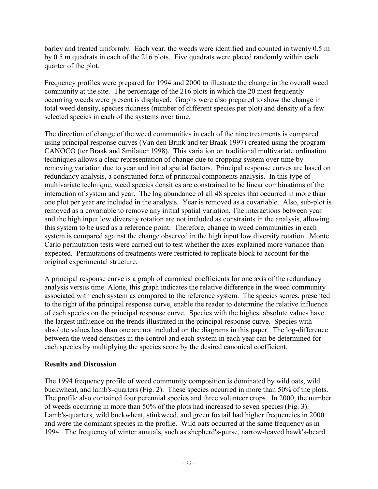barley and treated uniformly. Each year, the weeds were identified and counted in twenty 0.5 m by 0.5 m quadrats in each of the 216 plots. Five quadrats were placed randomly within each quarter of the plot.

Frequency profiles were prepared for 1994 and 2000 to illustrate the change in the overall weed community at the site. The percentage of the 216 plots in which the 20 most frequently occurring weeds were present is displayed. Graphs were also prepared to show the change in total weed density, species richness (number of different species per plot) and density of a few selected species in each of the systems over time.

The direction of change of the weed communities in each of the nine treatments is compared using principal response curves (Van den Brink and ter Braak 1997) created using the program CANOCO (ter Braak and Smilauer 1998). This variation on traditional multivariate ordination techniques allows a clear representation of change due to cropping system over time by removing variation due to year and initial spatial factors. Principal response curves are based on redundancy analysis, a constrained form of principal components analysis. In this type of multivariate technique, weed species densities are constrained to be linear combinations of the interaction of system and year. The log abundance of all 48 species that occurred in more than one plot per year are included in the analysis. Year is removed as a covariable. Also, sub-plot is removed as a covariable to remove any initial spatial variation. The interactions between year and the high input low diversity rotation are not included as constraints in the analysis, allowing this system to be used as a reference point. Therefore, change in weed communities in each system is compared against the change observed in the high input low diversity rotation. Monte Carlo permutation tests were carried out to test whether the axes explained more variance than expected. Permutations of treatments were restricted to replicate block to account for the original experimental structure.

A principal response curve is a graph of canonical coefficients for one axis of the redundancy analysis versus time. Alone, this graph indicates the relative difference in the weed community associated with each system as compared to the reference system. The species scores, presented to the right of the principal response curve, enable the reader to determine the relative influence of each species on the principal response curve. Species with the highest absolute values have the largest influence on the trends illustrated in the principal response curve. Species with absolute values less than one are not included on the diagrams in this paper. The log-difference between the weed densities in the control and each system in each year can be determined for each species by multiplying the species score by the desired canonical coefficient.

### **Results and Discussion**

The 1994 frequency profile of weed community composition is dominated by wild oats, wild buckwheat, and lamb's-quarters (Fig. 2). These species occurred in more than 50% of the plots. The profile also contained four perennial species and three volunteer crops. In 2000, the number of weeds occurring in more than 50% of the plots had increased to seven species (Fig. 3). Lamb's-quarters, wild buckwheat, stinkweed, and green foxtail had higher frequencies in 2000 and were the dominant species in the profile. Wild oats occurred at the same frequency as in 1994. The frequency of winter annuals, such as shepherd's-purse, narrow-leaved hawk's-beard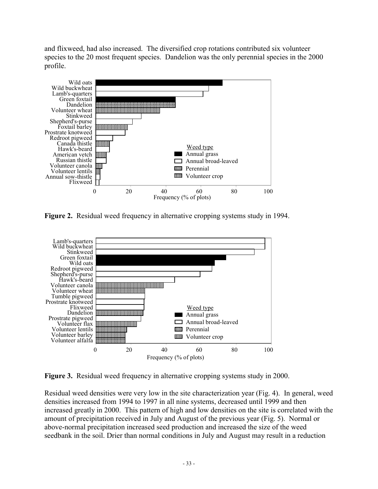and flixweed, had also increased. The diversified crop rotations contributed six volunteer species to the 20 most frequent species. Dandelion was the only perennial species in the 2000 profile.



**Figure 2.** Residual weed frequency in alternative cropping systems study in 1994.



**Figure 3.** Residual weed frequency in alternative cropping systems study in 2000.

Residual weed densities were very low in the site characterization year (Fig. 4). In general, weed densities increased from 1994 to 1997 in all nine systems, decreased until 1999 and then increased greatly in 2000. This pattern of high and low densities on the site is correlated with the amount of precipitation received in July and August of the previous year (Fig. 5). Normal or above-normal precipitation increased seed production and increased the size of the weed seedbank in the soil. Drier than normal conditions in July and August may result in a reduction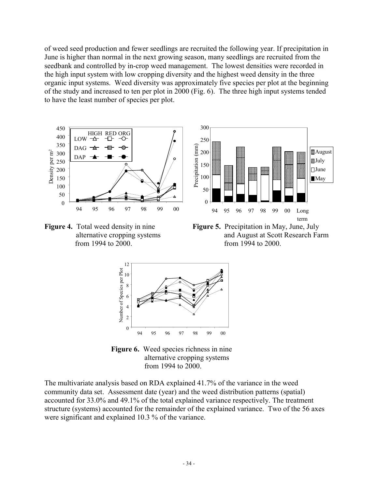of weed seed production and fewer seedlings are recruited the following year. If precipitation in June is higher than normal in the next growing season, many seedlings are recruited from the seedbank and controlled by in-crop weed management. The lowest densities were recorded in the high input system with low cropping diversity and the highest weed density in the three organic input systems. Weed diversity was approximately five species per plot at the beginning of the study and increased to ten per plot in 2000 (Fig. 6). The three high input systems tended to have the least number of species per plot.



from 1994 to 2000. from 1994 to 2000.

**alternative cropping systems** and August at Scott Research Farm



**Figure 6.** Weed species richness in nine alternative cropping systems from 1994 to 2000.

The multivariate analysis based on RDA explained 41.7% of the variance in the weed community data set. Assessment date (year) and the weed distribution patterns (spatial) accounted for 33.0% and 49.1% of the total explained variance respectively. The treatment structure (systems) accounted for the remainder of the explained variance. Two of the 56 axes were significant and explained 10.3 % of the variance.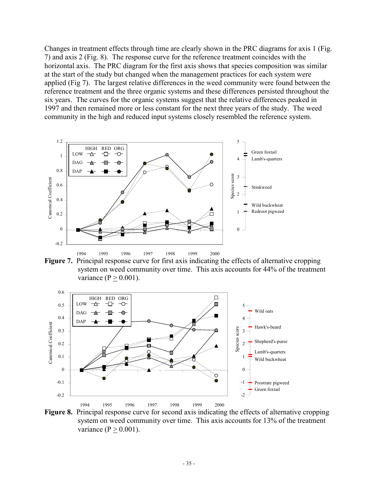Changes in treatment effects through time are clearly shown in the PRC diagrams for axis 1 (Fig. 7) and axis 2 (Fig. 8). The response curve for the reference treatment coincides with the horizontal axis. The PRC diagram for the first axis shows that species composition was similar at the start of the study but changed when the management practices for each system were applied (Fig 7). The largest relative differences in the weed community were found between the reference treatment and the three organic systems and these differences persisted throughout the six years. The curves for the organic systems suggest that the relative differences peaked in 1997 and then remained more or less constant for the next three years of the study. The weed community in the high and reduced input systems closely resembled the reference system.



**Figure 7.** Principal response curve for first axis indicating the effects of alternative cropping system on weed community over time. This axis accounts for 44% of the treatment variance  $(P > 0.001)$ .



**Figure 8.** Principal response curve for second axis indicating the effects of alternative cropping system on weed community over time. This axis accounts for 13% of the treatment variance  $(P > 0.001)$ .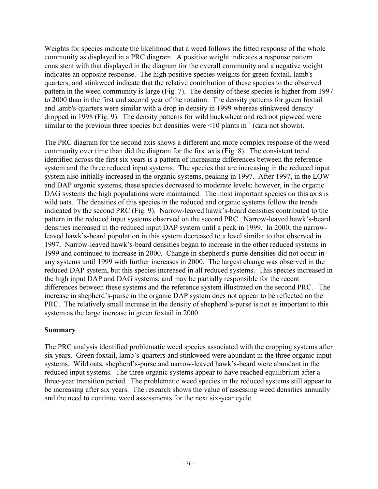Weights for species indicate the likelihood that a weed follows the fitted response of the whole community as displayed in a PRC diagram. A positive weight indicates a response pattern consistent with that displayed in the diagram for the overall community and a negative weight indicates an opposite response. The high positive species weights for green foxtail, lamb'squarters, and stinkweed indicate that the relative contribution of these species to the observed pattern in the weed community is large (Fig. 7). The density of these species is higher from 1997 to 2000 than in the first and second year of the rotation. The density patterns for green foxtail and lamb's-quarters were similar with a drop in density in 1999 whereas stinkweed density dropped in 1998 (Fig. 9). The density patterns for wild buckwheat and redroot pigweed were similar to the previous three species but densities were  $\leq 10$  plants m<sup>-2</sup> (data not shown).

The PRC diagram for the second axis shows a different and more complex response of the weed community over time than did the diagram for the first axis (Fig. 8). The consistent trend identified across the first six years is a pattern of increasing differences between the reference system and the three reduced input systems. The species that are increasing in the reduced input system also initially increased in the organic systems, peaking in 1997. After 1997, in the LOW and DAP organic systems, these species decreased to moderate levels; however, in the organic DAG systems the high populations were maintained. The most important species on this axis is wild oats. The densities of this species in the reduced and organic systems follow the trends indicated by the second PRC (Fig. 9). Narrow-leaved hawk's-beard densities contributed to the pattern in the reduced input systems observed on the second PRC. Narrow-leaved hawk's-beard densities increased in the reduced input DAP system until a peak in 1999. In 2000, the narrowleaved hawk's-beard population in this system decreased to a level similar to that observed in 1997. Narrow-leaved hawk's-beard densities began to increase in the other reduced systems in 1999 and continued to increase in 2000. Change in shepherd's-purse densities did not occur in any systems until 1999 with further increases in 2000. The largest change was observed in the reduced DAP system, but this species increased in all reduced systems. This species increased in the high input DAP and DAG systems, and may be partially responsible for the recent differences between these systems and the reference system illustrated on the second PRC. The increase in shepherd's-purse in the organic DAP system does not appear to be reflected on the PRC. The relatively small increase in the density of shepherd's-purse is not as important to this system as the large increase in green foxtail in 2000.

### **Summary**

The PRC analysis identified problematic weed species associated with the cropping systems after six years. Green foxtail, lamb's-quarters and stinkweed were abundant in the three organic input systems. Wild oats, shepherd's-purse and narrow-leaved hawk's-beard were abundant in the reduced input systems. The three organic systems appear to have reached equilibrium after a three-year transition period. The problematic weed species in the reduced systems still appear to be increasing after six years. The research shows the value of assessing weed densities annually and the need to continue weed assessments for the next six-year cycle.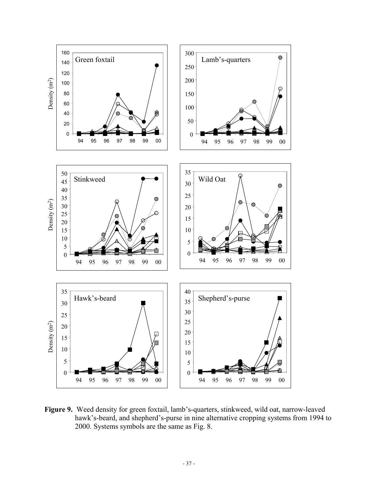

**Figure 9.** Weed density for green foxtail, lamb's-quarters, stinkweed, wild oat, narrow-leaved hawk's-beard, and shepherd's-purse in nine alternative cropping systems from 1994 to 2000. Systems symbols are the same as Fig. 8.